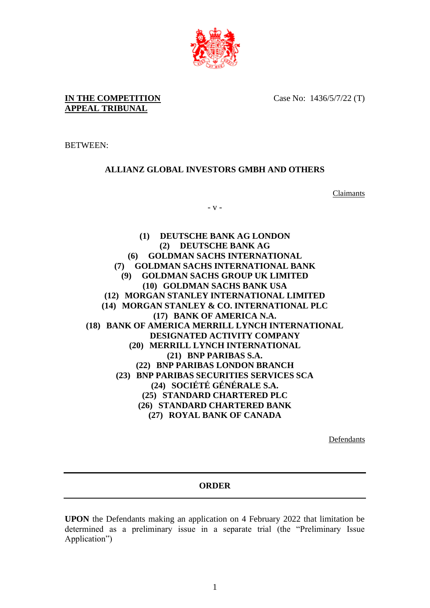

**IN THE COMPETITION APPEAL TRIBUNAL**

Case No: 1436/5/7/22 (T)

BETWEEN:

## **ALLIANZ GLOBAL INVESTORS GMBH AND OTHERS**

Claimants

- v -

**(1) DEUTSCHE BANK AG LONDON (2) DEUTSCHE BANK AG (6) GOLDMAN SACHS INTERNATIONAL (7) GOLDMAN SACHS INTERNATIONAL BANK (9) GOLDMAN SACHS GROUP UK LIMITED (10) GOLDMAN SACHS BANK USA (12) MORGAN STANLEY INTERNATIONAL LIMITED (14) MORGAN STANLEY & CO. INTERNATIONAL PLC (17) BANK OF AMERICA N.A. (18) BANK OF AMERICA MERRILL LYNCH INTERNATIONAL DESIGNATED ACTIVITY COMPANY (20) MERRILL LYNCH INTERNATIONAL (21) BNP PARIBAS S.A. (22) BNP PARIBAS LONDON BRANCH (23) BNP PARIBAS SECURITIES SERVICES SCA (24) SOCIÉTÉ GÉNÉRALE S.A. (25) STANDARD CHARTERED PLC (26) STANDARD CHARTERED BANK (27) ROYAL BANK OF CANADA**

Defendants

## **ORDER**

**UPON** the Defendants making an application on 4 February 2022 that limitation be determined as a preliminary issue in a separate trial (the "Preliminary Issue Application")